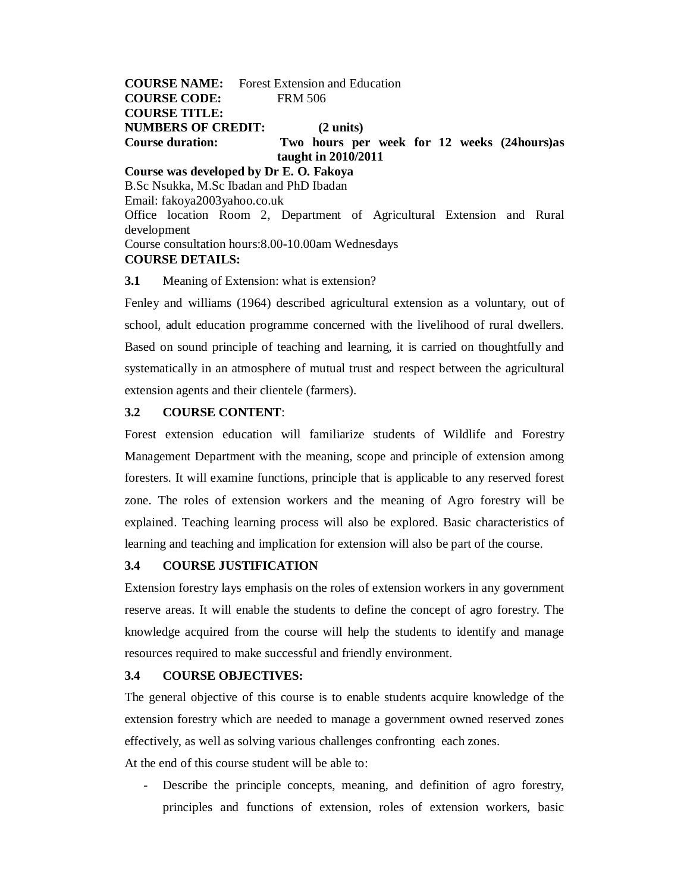**COURSE NAME:** Forest Extension and Education **COURSE CODE:** FRM 506 **COURSE TITLE: NUMBERS OF CREDIT: (2 units) Course duration: Two hours per week for 12 weeks (24hours)as taught in 2010/2011 Course was developed by Dr E. O. Fakoya**

B.Sc Nsukka, M.Sc Ibadan and PhD Ibadan Email: fakoya2003yahoo.co.uk Office location Room 2, Department of Agricultural Extension and Rural development Course consultation hours:8.00-10.00am Wednesdays **COURSE DETAILS:**

**3.1** Meaning of Extension: what is extension?

Fenley and williams (1964) described agricultural extension as a voluntary, out of school, adult education programme concerned with the livelihood of rural dwellers. Based on sound principle of teaching and learning, it is carried on thoughtfully and systematically in an atmosphere of mutual trust and respect between the agricultural extension agents and their clientele (farmers).

### **3.2 COURSE CONTENT**:

Forest extension education will familiarize students of Wildlife and Forestry Management Department with the meaning, scope and principle of extension among foresters. It will examine functions, principle that is applicable to any reserved forest zone. The roles of extension workers and the meaning of Agro forestry will be explained. Teaching learning process will also be explored. Basic characteristics of learning and teaching and implication for extension will also be part of the course.

### **3.4 COURSE JUSTIFICATION**

Extension forestry lays emphasis on the roles of extension workers in any government reserve areas. It will enable the students to define the concept of agro forestry. The knowledge acquired from the course will help the students to identify and manage resources required to make successful and friendly environment.

### **3.4 COURSE OBJECTIVES:**

The general objective of this course is to enable students acquire knowledge of the extension forestry which are needed to manage a government owned reserved zones effectively, as well as solving various challenges confronting each zones.

At the end of this course student will be able to:

- Describe the principle concepts, meaning, and definition of agro forestry, principles and functions of extension, roles of extension workers, basic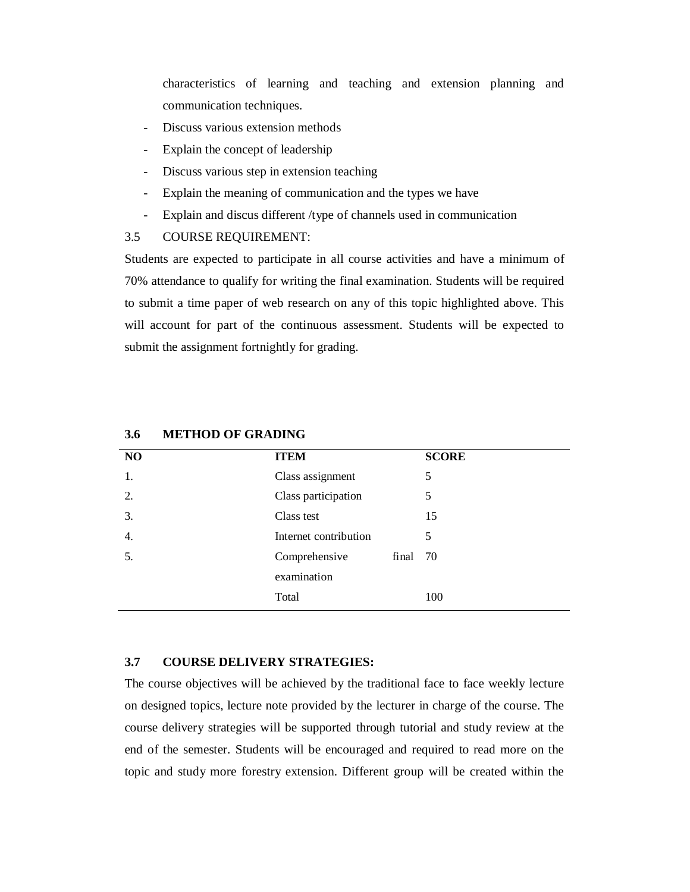characteristics of learning and teaching and extension planning and communication techniques.

- Discuss various extension methods
- Explain the concept of leadership
- Discuss various step in extension teaching
- Explain the meaning of communication and the types we have
- Explain and discus different /type of channels used in communication

### 3.5 COURSE REQUIREMENT:

Students are expected to participate in all course activities and have a minimum of 70% attendance to qualify for writing the final examination. Students will be required to submit a time paper of web research on any of this topic highlighted above. This will account for part of the continuous assessment. Students will be expected to submit the assignment fortnightly for grading.

| NO | <b>ITEM</b>           |          | <b>SCORE</b> |
|----|-----------------------|----------|--------------|
| 1. | Class assignment      |          | 5            |
| 2. | Class participation   |          | 5            |
| 3. | Class test            |          | 15           |
| 4. | Internet contribution |          | 5            |
| 5. | Comprehensive         | final 70 |              |
|    | examination           |          |              |
|    | Total                 |          | 100          |
|    |                       |          |              |

### **3.6 METHOD OF GRADING**

### **3.7 COURSE DELIVERY STRATEGIES:**

The course objectives will be achieved by the traditional face to face weekly lecture on designed topics, lecture note provided by the lecturer in charge of the course. The course delivery strategies will be supported through tutorial and study review at the end of the semester. Students will be encouraged and required to read more on the topic and study more forestry extension. Different group will be created within the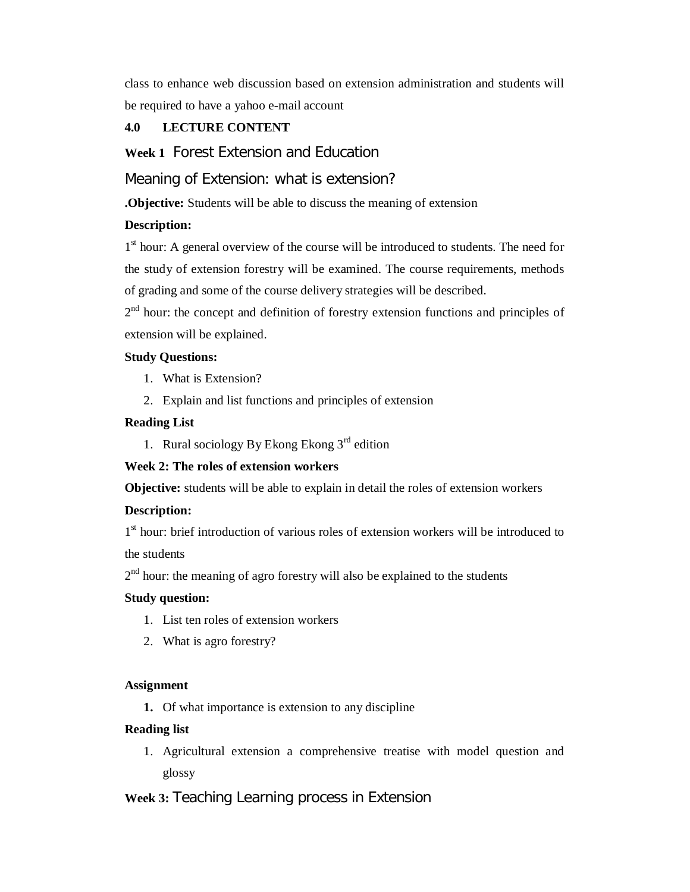class to enhance web discussion based on extension administration and students will be required to have a yahoo e-mail account

# **4.0 LECTURE CONTENT**

**Week 1** Forest Extension and Education

Meaning of Extension: what is extension?

**.Objective:** Students will be able to discuss the meaning of extension

## **Description:**

1<sup>st</sup> hour: A general overview of the course will be introduced to students. The need for the study of extension forestry will be examined. The course requirements, methods of grading and some of the course delivery strategies will be described.

2<sup>nd</sup> hour: the concept and definition of forestry extension functions and principles of extension will be explained.

### **Study Questions:**

- 1. What is Extension?
- 2. Explain and list functions and principles of extension

#### **Reading List**

1. Rural sociology By Ekong Ekong  $3<sup>rd</sup>$  edition

### **Week 2: The roles of extension workers**

**Objective:** students will be able to explain in detail the roles of extension workers

### **Description:**

1<sup>st</sup> hour: brief introduction of various roles of extension workers will be introduced to the students

 $2<sup>nd</sup>$  hour: the meaning of agro forestry will also be explained to the students

### **Study question:**

- 1. List ten roles of extension workers
- 2. What is agro forestry?

#### **Assignment**

**1.** Of what importance is extension to any discipline

#### **Reading list**

1. Agricultural extension a comprehensive treatise with model question and glossy

## **Week 3:** Teaching Learning process in Extension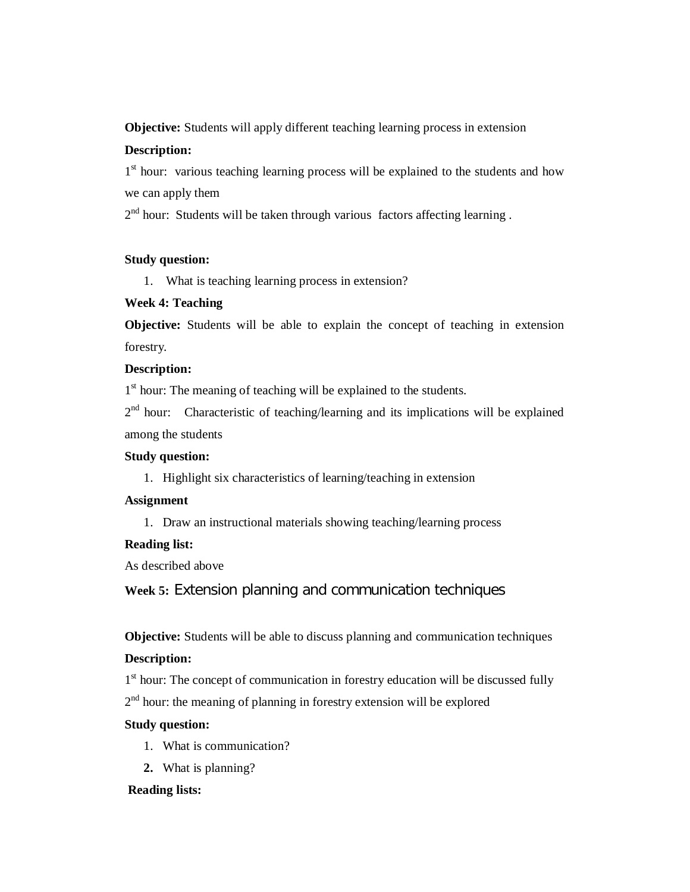**Objective:** Students will apply different teaching learning process in extension

## **Description:**

1<sup>st</sup> hour: various teaching learning process will be explained to the students and how we can apply them

2<sup>nd</sup> hour: Students will be taken through various factors affecting learning.

## **Study question:**

1. What is teaching learning process in extension?

## **Week 4: Teaching**

**Objective:** Students will be able to explain the concept of teaching in extension forestry.

## **Description:**

1<sup>st</sup> hour: The meaning of teaching will be explained to the students.

 $2<sup>nd</sup>$  hour: Characteristic of teaching/learning and its implications will be explained among the students

## **Study question:**

1. Highlight six characteristics of learning/teaching in extension

## **Assignment**

1. Draw an instructional materials showing teaching/learning process

# **Reading list:**

As described above

**Week 5:** Extension planning and communication techniques

**Objective:** Students will be able to discuss planning and communication techniques

# **Description:**

1<sup>st</sup> hour: The concept of communication in forestry education will be discussed fully 2<sup>nd</sup> hour: the meaning of planning in forestry extension will be explored

# **Study question:**

- 1. What is communication?
- **2.** What is planning?

# **Reading lists:**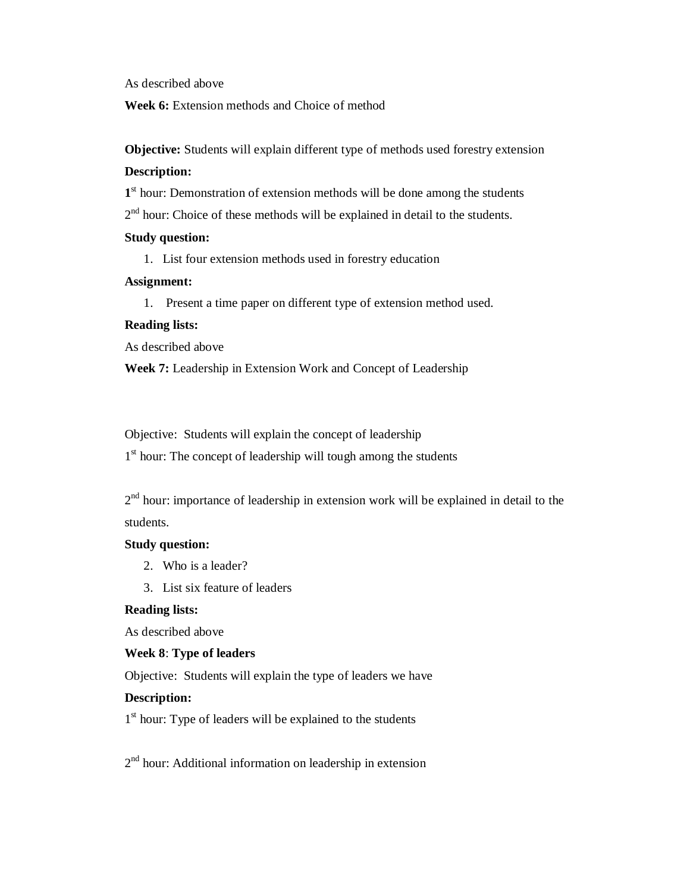As described above

**Week 6:** Extension methods and Choice of method

**Objective:** Students will explain different type of methods used forestry extension **Description:**

1<sup>st</sup> hour: Demonstration of extension methods will be done among the students  $2<sup>nd</sup>$  hour: Choice of these methods will be explained in detail to the students.

## **Study question:**

1. List four extension methods used in forestry education

### **Assignment:**

1. Present a time paper on different type of extension method used.

### **Reading lists:**

As described above

**Week 7:** Leadership in Extension Work and Concept of Leadership

Objective: Students will explain the concept of leadership

1<sup>st</sup> hour: The concept of leadership will tough among the students

 $2<sup>nd</sup>$  hour: importance of leadership in extension work will be explained in detail to the students.

### **Study question:**

- 2. Who is a leader?
- 3. List six feature of leaders

## **Reading lists:**

As described above

## **Week 8**: **Type of leaders**

Objective: Students will explain the type of leaders we have

### **Description:**

1<sup>st</sup> hour: Type of leaders will be explained to the students

2<sup>nd</sup> hour: Additional information on leadership in extension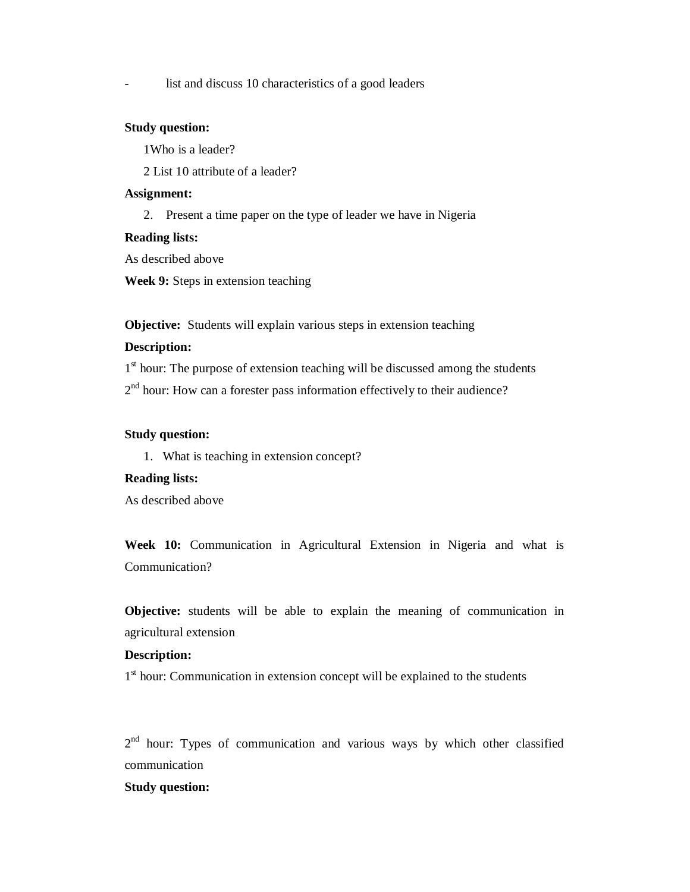list and discuss 10 characteristics of a good leaders

#### **Study question:**

1Who is a leader?

2 List 10 attribute of a leader?

#### **Assignment:**

2. Present a time paper on the type of leader we have in Nigeria

#### **Reading lists:**

As described above

**Week 9:** Steps in extension teaching

**Objective:** Students will explain various steps in extension teaching

#### **Description:**

1<sup>st</sup> hour: The purpose of extension teaching will be discussed among the students

 $2<sup>nd</sup>$  hour: How can a forester pass information effectively to their audience?

### **Study question:**

1. What is teaching in extension concept?

### **Reading lists:**

As described above

**Week 10:** Communication in Agricultural Extension in Nigeria and what is Communication?

**Objective:** students will be able to explain the meaning of communication in agricultural extension

### **Description:**

1<sup>st</sup> hour: Communication in extension concept will be explained to the students

2<sup>nd</sup> hour: Types of communication and various ways by which other classified communication

### **Study question:**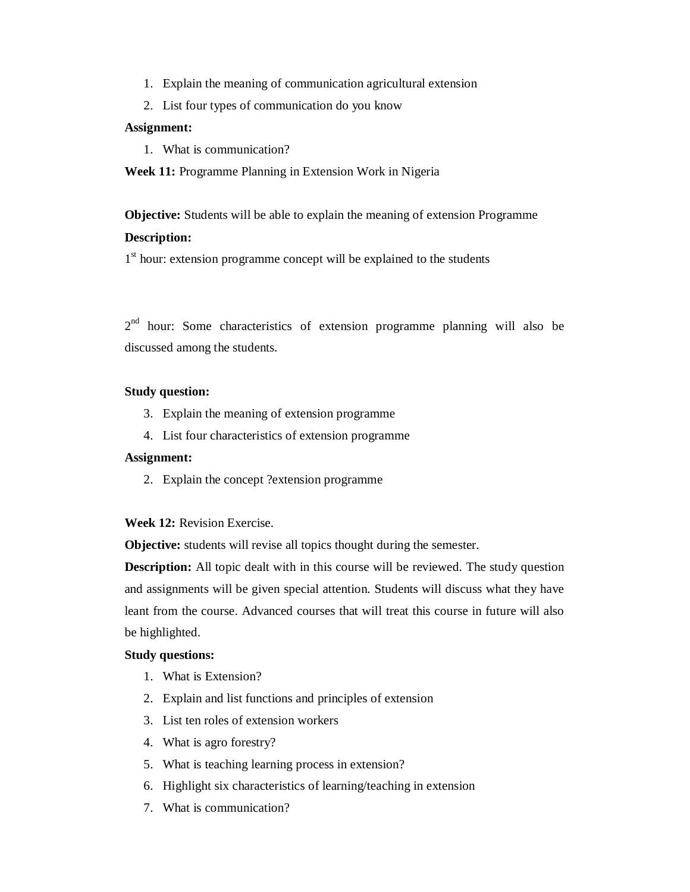- 1. Explain the meaning of communication agricultural extension
- 2. List four types of communication do you know

#### **Assignment:**

1. What is communication?

**Week 11:** Programme Planning in Extension Work in Nigeria

**Objective:** Students will be able to explain the meaning of extension Programme

## **Description:**

1<sup>st</sup> hour: extension programme concept will be explained to the students

 $2<sup>nd</sup>$  hour: Some characteristics of extension programme planning will also be discussed among the students.

#### **Study question:**

- 3. Explain the meaning of extension programme
- 4. List four characteristics of extension programme

#### **Assignment:**

2. Explain the concept ?extension programme

#### **Week 12:** Revision Exercise.

**Objective:** students will revise all topics thought during the semester.

**Description:** All topic dealt with in this course will be reviewed. The study question and assignments will be given special attention. Students will discuss what they have leant from the course. Advanced courses that will treat this course in future will also be highlighted.

### **Study questions:**

- 1. What is Extension?
- 2. Explain and list functions and principles of extension
- 3. List ten roles of extension workers
- 4. What is agro forestry?
- 5. What is teaching learning process in extension?
- 6. Highlight six characteristics of learning/teaching in extension
- 7. What is communication?